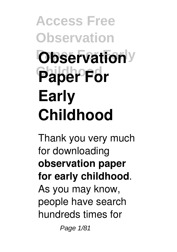# **Access Free Observation Observation**<sup>y</sup> Paper For **Early Childhood**

Thank you very much for downloading **observation paper for early childhood**. As you may know, people have search hundreds times for

Page 1/81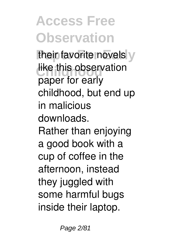## **Access Free Observation**

their favorite novels y like this observation paper for early childhood, but end up in malicious downloads. Rather than enjoying a good book with a cup of coffee in the afternoon, instead they juggled with some harmful bugs inside their laptop.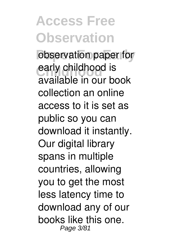**Access Free Observation** observation paper for early childhood is available in our book collection an online access to it is set as public so you can download it instantly. Our digital library spans in multiple countries, allowing you to get the most less latency time to download any of our books like this one. Page 3/81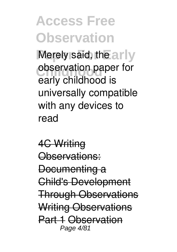**Access Free Observation** Merely said, the arly **observation paper for** early childhood is universally compatible with any devices to read

4C Writing Observations: Documenting a Child's Development Through Observations Writing Observations Part 1 Observation Page 4/81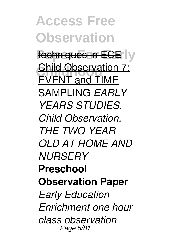**Access Free Observation** techniques in ECE<sup>I</sup>y **Child Observation 7:**<br>CMCNT and TIME EVENT and TIME SAMPLING *EARLY YEARS STUDIES. Child Observation. THE TWO YEAR OLD AT HOME AND NURSERY* **Preschool Observation Paper** *Early Education Enrichment one hour class observation* Page 5/81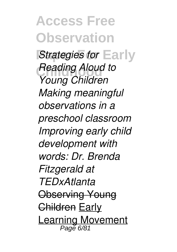**Access Free Observation** *Strategies for* Early **Reading Aloud to** *Young Children Making meaningful observations in a preschool classroom Improving early child development with words: Dr. Brenda Fitzgerald at TEDxAtlanta* Observing Young Children Early Learning Movement Page 6/81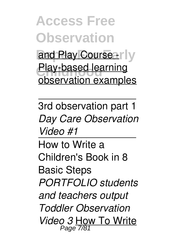**Access Free Observation** and Play Course - IV **Play-based learning** observation examples

3rd observation part 1 *Day Care Observation Video #1*

How to Write a Children's Book in 8 Basic Steps *PORTFOLIO students and teachers output Toddler Observation Video 3* How To Write Page 7/81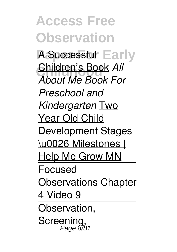**Access Free Observation A Successful Early Children's Book All** *About Me Book For Preschool and Kindergarten* Two Year Old Child Development Stages \u0026 Milestones | Help Me Grow MN Focused Observations Chapter 4 Video 9 Observation, **Screening** Page 8/81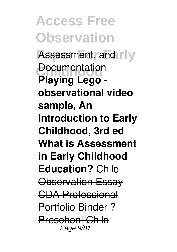**Access Free Observation** Assessment, and rly **Documentation Playing Lego observational video sample, An Introduction to Early Childhood, 3rd ed What is Assessment in Early Childhood Education?** Child Observation Essay CDA Professional Portfolio Binder ? Preschool Child Page 9/81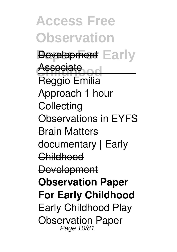**Access Free Observation Pevelopment** Early Associate<br>Prania Facilia Reggio Emilia Approach 1 hour **Collecting** Observations in EYFS Brain Matters documentary | Early Childhood **Development Observation Paper For Early Childhood** Early Childhood Play Observation Paper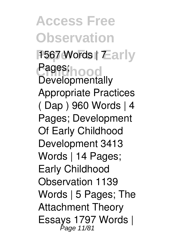**Access Free Observation** 1567 Words | Tarly Pages;<br>Paughamenta **Developmentally** Appropriate Practices ( Dap ) 960 Words | 4 Pages; Development Of Early Childhood Development 3413 Words | 14 Pages; Early Childhood Observation 1139 Words | 5 Pages; The Attachment Theory Essays 1797 Words |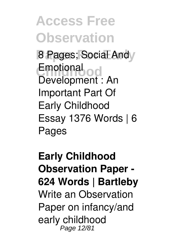**Access Free Observation 8 Pages; Social Andy** Emotional<br>Baudenmont Development : An Important Part Of Early Childhood Essay 1376 Words | 6 Pages

**Early Childhood Observation Paper - 624 Words | Bartleby** Write an Observation Paper on infancy/and early childhood Page 12/81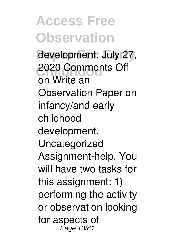**Access Free Observation** development. July 27, **2020 Comments Off** on Write an Observation Paper on infancy/and early childhood development. Uncategorized Assignment-help. You will have two tasks for this assignment: 1) performing the activity or observation looking for aspects of Page 13/81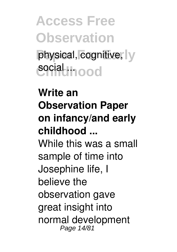**Access Free Observation** physical, cognitive, y **social ...**...

**Write an Observation Paper on infancy/and early childhood ...** While this was a small sample of time into Josephine life, I believe the observation gave great insight into normal development Page 14/81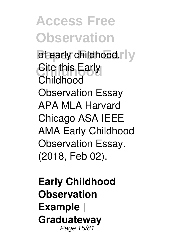**Access Free Observation** of early childhood.r ly **Cite this Early** Childhood Observation Essay APA MLA Harvard Chicago ASA IEEE AMA Early Childhood Observation Essay. (2018, Feb 02).

**Early Childhood Observation Example | Graduateway** Page 15/81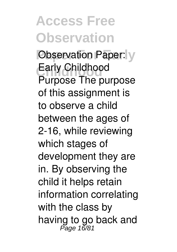### **Access Free Observation**

**Observation Paper:** y **Childhood** Early Childhood Purpose The purpose of this assignment is to observe a child between the ages of 2-16, while reviewing which stages of development they are in. By observing the child it helps retain information correlating with the class by having to go back and<br>Page 16/81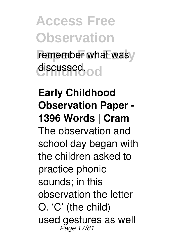**Access Free Observation** remember what wasy discussed.od

**Early Childhood Observation Paper - 1396 Words | Cram** The observation and school day began with the children asked to practice phonic sounds; in this observation the letter O. 'C' (the child) used gestures as well Page 17/81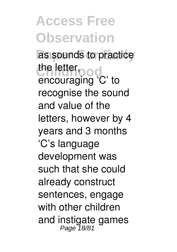**Access Free Observation** as sounds to practice the letter<sub>pood</sub> encouraging 'C' to recognise the sound and value of the letters, however by 4 years and 3 months 'C's language development was such that she could already construct sentences, engage with other children and instigate games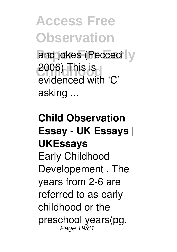**Access Free Observation** and jokes (Pecceci y 2006) This is evidenced with 'C' asking ...

#### **Child Observation Essay - UK Essays | UKEssays** Early Childhood Developement . The years from 2-6 are referred to as early childhood or the preschool years(pg.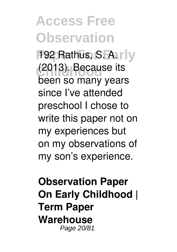**Access Free Observation** 192 Rathus, S. A. rly **Childhood** (2013). Because its been so many years since I've attended preschool I chose to write this paper not on my experiences but on my observations of my son's experience.

**Observation Paper On Early Childhood | Term Paper Warehouse** Page 20/81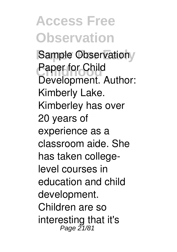**Access Free Observation Sample Observationy Paper for Child** Development. Author: Kimberly Lake. Kimberley has over 20 years of experience as a classroom aide. She has taken collegelevel courses in education and child development. Children are so interesting that it's Page 21/81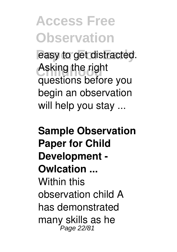# **Access Free Observation** easy to get distracted. Asking the right

questions before you begin an observation will help you stay ...

#### **Sample Observation Paper for Child Development - Owlcation ...** Within this observation child A has demonstrated many skills as he Page 22/81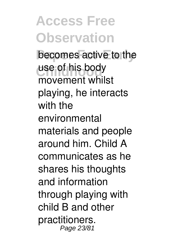**Access Free Observation** becomes active to the use of his body movement whilst playing, he interacts with the environmental materials and people around him. Child A communicates as he shares his thoughts and information through playing with child B and other practitioners. Page 23/81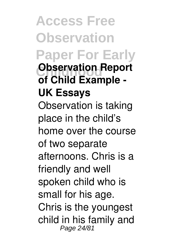**Access Free Observation Paper For Early Childhood Report of Child Example - UK Essays** Observation is taking place in the child's home over the course of two separate afternoons. Chris is a friendly and well spoken child who is small for his age. Chris is the youngest child in his family and Page 24/81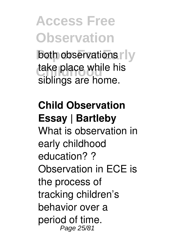**Access Free Observation both observations r** y take place while his siblings are home.

**Child Observation Essay | Bartleby** What is observation in early childhood education? ? Observation in ECE is the process of tracking children's behavior over a period of time. Page 25/81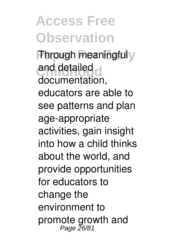**Access Free Observation Through meaningfuly** and detailed documentation, educators are able to see patterns and plan age-appropriate activities, gain insight into how a child thinks about the world, and provide opportunities for educators to change the environment to promote growth and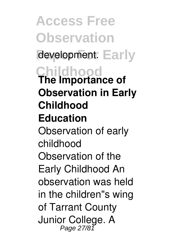**Access Free Observation** development. Early **Childhood The Importance of Observation in Early Childhood Education** Observation of early childhood Observation of the Early Childhood An observation was held in the children"s wing of Tarrant County Junior College. A Page 27/81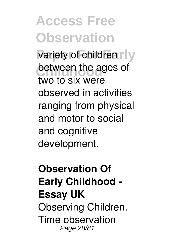**Access Free Observation** variety of children r ly between the ages of two to six were observed in activities ranging from physical and motor to social and cognitive development.

**Observation Of Early Childhood - Essay UK** Observing Children. Time observation Page 28/81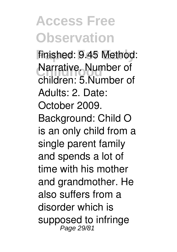### **Access Free Observation**

finished: 9.45 Method: **Narrative. Number of** children: 5.Number of Adults: 2. Date: October 2009. Background: Child O is an only child from a single parent family and spends a lot of time with his mother and grandmother. He also suffers from a disorder which is supposed to infringe Page 29/81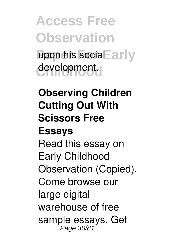**Access Free Observation** upon his social Early development.

**Observing Children Cutting Out With Scissors Free Essays** Read this essay on Early Childhood Observation (Copied). Come browse our large digital warehouse of free sample essays. Get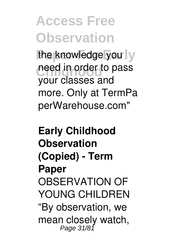### **Access Free Observation**

the knowledge you | y need in order to pass your classes and more. Only at TermPa perWarehouse.com"

**Early Childhood Observation (Copied) - Term Paper** OBSERVATION OF YOUNG CHILDREN "By observation, we mean closely watch,<br>Page 31/81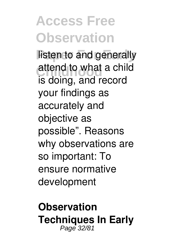### **Access Free Observation**

listen to and generally attend to what a child is doing, and record your findings as accurately and objective as possible". Reasons why observations are so important: To ensure normative development

**Observation Techniques In Early** Page 32/81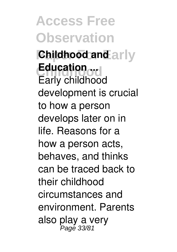**Access Free Observation Childhood and arly Childhood Education ...** Early childhood development is crucial to how a person develops later on in life. Reasons for a how a person acts, behaves, and thinks can be traced back to their childhood circumstances and environment. Parents also play a very<br>Page 33/81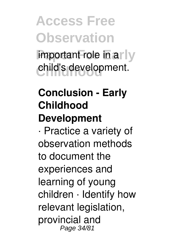**Access Free Observation** important role in arly child's development.

#### **Conclusion - Early Childhood Development**

· Practice a variety of observation methods to document the experiences and learning of young children · Identify how relevant legislation, provincial and Page 34/81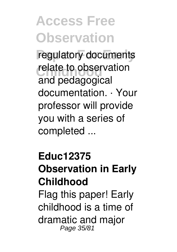### **Access Free Observation**

regulatory documents relate to observation and pedagogical documentation. · Your professor will provide you with a series of completed ...

#### **Educ12375 Observation in Early Childhood** Flag this paper! Early childhood is a time of dramatic and major Page 35/81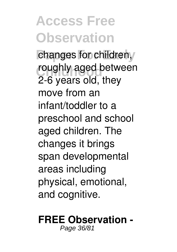### **Access Free Observation**

changes for children, roughly aged between 2-6 years old, they move from an infant/toddler to a preschool and school aged children. The changes it brings span developmental areas including physical, emotional, and cognitive.

#### **FREE Observation -**

Page 36/81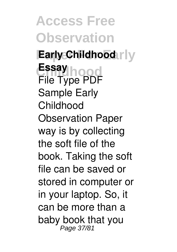**Access Free Observation Early Childhood** rly Essay<br>Fil<sup>ter</sup> Tungod File Type PDF Sample Early Childhood Observation Paper way is by collecting the soft file of the book. Taking the soft file can be saved or stored in computer or in your laptop. So, it can be more than a baby book that you Page 37/81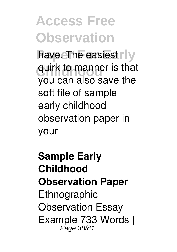# **Access Free Observation** have. The easiest rly quirk to manner is that

you can also save the soft file of sample early childhood observation paper in your

**Sample Early Childhood Observation Paper** Ethnographic Observation Essay Example 733 Words | Page 38/81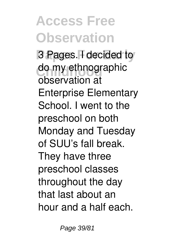# **Access Free Observation**

3 Pages. **F** decided to do my ethnographic observation at Enterprise Elementary School. I went to the preschool on both Monday and Tuesday of SUU's fall break. They have three preschool classes throughout the day that last about an hour and a half each.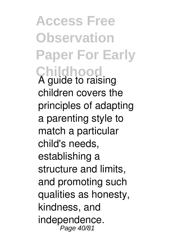**Access Free Observation Paper For Early Childhood** A guide to raising children covers the principles of adapting a parenting style to match a particular child's needs, establishing a structure and limits, and promoting such qualities as honesty, kindness, and independence. Page 40/81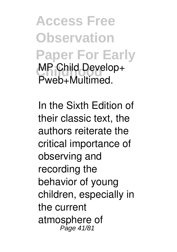**Access Free Observation Paper For Early MP Child Develop+** Pweb+Multimed.

In the Sixth Edition of their classic text, the authors reiterate the critical importance of observing and recording the behavior of young children, especially in the current atmosphere of Page 41/81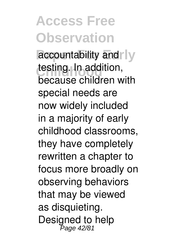## **Access Free Observation**

accountability and **y** testing. In addition, because children with special needs are now widely included in a majority of early childhood classrooms, they have completely rewritten a chapter to focus more broadly on observing behaviors that may be viewed as disquieting. Designed to help Page 42/81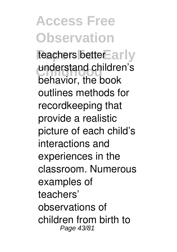**Access Free Observation** teachers better Early understand children's behavior, the book outlines methods for recordkeeping that provide a realistic picture of each child's interactions and experiences in the classroom. Numerous examples of teachers' observations of children from birth to Page 43/81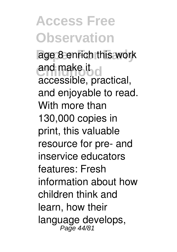**Access Free Observation** age 8 enrich this work and make it do accessible, practical, and enjoyable to read. With more than 130,000 copies in print, this valuable resource for pre- and inservice educators features: Fresh information about how children think and learn, how their language develops,<br>Page 44/81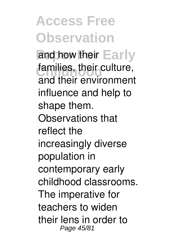### **Access Free Observation** and how their Early families, their culture, and their environment influence and help to shape them. Observations that reflect the increasingly diverse population in contemporary early childhood classrooms. The imperative for teachers to widen their lens in order to

Page 45/81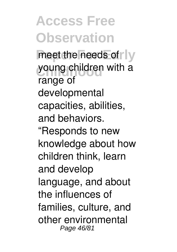**Access Free Observation** meet the needs of **Ny** young children with a range of developmental capacities, abilities, and behaviors. "Responds to new knowledge about how children think, learn and develop language, and about the influences of families, culture, and other environmental Page 46/81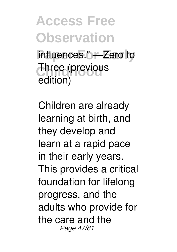**Access Free Observation** influences." - Zero to **Three (previous** edition)

Children are already learning at birth, and they develop and learn at a rapid pace in their early years. This provides a critical foundation for lifelong progress, and the adults who provide for the care and the Page 47/81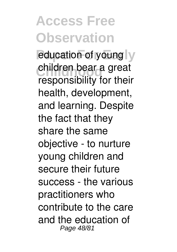# **Access Free Observation**

education of young y **children bear a great** responsibility for their health, development, and learning. Despite the fact that they share the same objective - to nurture young children and secure their future success - the various practitioners who contribute to the care and the education of Page 48/81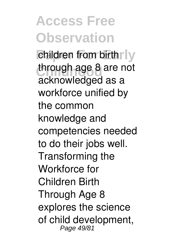**Access Free Observation** children from birth rly through age 8 are not acknowledged as a workforce unified by the common knowledge and competencies needed to do their jobs well. Transforming the Workforce for Children Birth Through Age 8 explores the science of child development, Page 49/81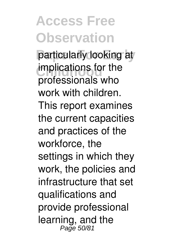## **Access Free Observation**

particularly looking at **implications for the** professionals who work with children. This report examines the current capacities and practices of the workforce, the settings in which they work, the policies and infrastructure that set qualifications and provide professional learning, and the Page 50/81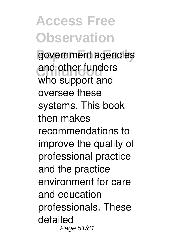**Access Free Observation** government agencies and other funders who support and oversee these systems. This book then makes recommendations to improve the quality of professional practice and the practice environment for care and education professionals. These detailed Page 51/81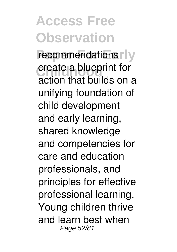#### **Access Free Observation** recommendations<sup>r</sup> **Create a blueprint for** action that builds on a unifying foundation of child development and early learning, shared knowledge and competencies for care and education professionals, and principles for effective professional learning. Young children thrive and learn best when Page 52/81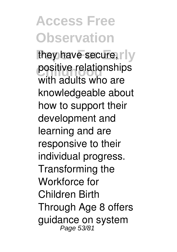#### **Access Free Observation** they have secure, rly positive relationships with adults who are knowledgeable about how to support their development and learning and are responsive to their individual progress. Transforming the Workforce for Children Birth Through Age 8 offers guidance on system Page 53/81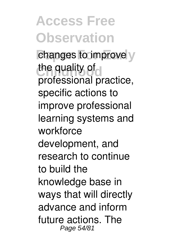**Access Free Observation** changes to improve y the quality of professional practice, specific actions to improve professional learning systems and workforce development, and research to continue to build the knowledge base in ways that will directly advance and inform future actions. The Page 54/81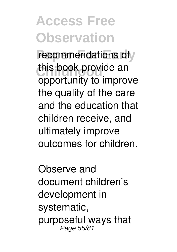# **Access Free Observation**

recommendations of this book provide an opportunity to improve the quality of the care and the education that children receive, and ultimately improve outcomes for children.

Observe and document children's development in systematic, purposeful ways that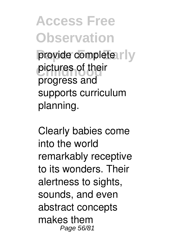**Access Free Observation** provide complete rly pictures of their progress and supports curriculum planning.

Clearly babies come into the world remarkably receptive to its wonders. Their alertness to sights, sounds, and even abstract concepts makes them Page 56/81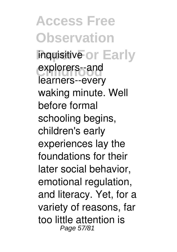**Access Free Observation Inquisitive or Early** explorers--and learners--every waking minute. Well before formal schooling begins, children's early experiences lay the foundations for their later social behavior, emotional regulation, and literacy. Yet, for a variety of reasons, far too little attention is Page 57/81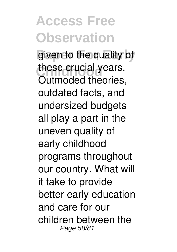**Access Free Observation** given to the quality of these crucial years. Outmoded theories, outdated facts, and undersized budgets all play a part in the uneven quality of early childhood programs throughout our country. What will it take to provide better early education and care for our children between the Page 58/81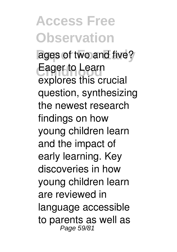**Access Free Observation** ages of two and five? Eager to Learn explores this crucial question, synthesizing the newest research findings on how young children learn and the impact of early learning. Key discoveries in how young children learn are reviewed in language accessible to parents as well as Page 59/81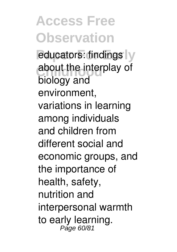**Access Free Observation** educators: findings y about the interplay of biology and environment, variations in learning among individuals and children from different social and economic groups, and the importance of health, safety, nutrition and interpersonal warmth to early learning.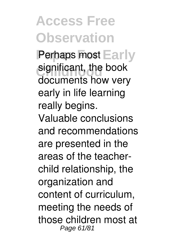**Access Free Observation** Perhaps most Early significant, the book documents how very early in life learning really begins. Valuable conclusions and recommendations are presented in the areas of the teacherchild relationship, the organization and content of curriculum, meeting the needs of those children most at Page 61/81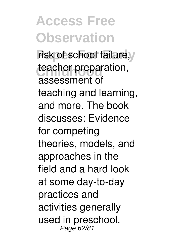### **Access Free Observation** risk of school failure, teacher preparation, assessment of teaching and learning, and more. The book discusses: Evidence for competing theories, models, and approaches in the field and a hard look at some day-to-day practices and activities generally

used in preschool. Page 62/81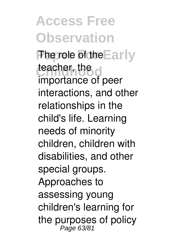**Access Free Observation The role of the Early** teacher, the c importance of peer interactions, and other relationships in the child's life. Learning needs of minority children, children with disabilities, and other special groups. Approaches to assessing young children's learning for the purposes of policy<br> $Page 63/81$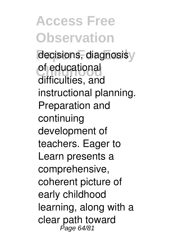**Access Free Observation** decisions, diagnosisy of educational<br>difficulties difficulties, and instructional planning. Preparation and continuing development of teachers. Eager to Learn presents a comprehensive, coherent picture of early childhood learning, along with a clear path toward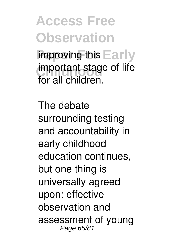**Access Free Observation** improving this Early **important stage of life** for all children.

The debate surrounding testing and accountability in early childhood education continues, but one thing is universally agreed upon: effective observation and assessment of young Page 65/81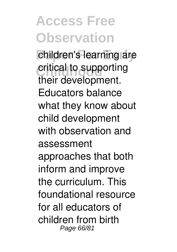# **Access Free Observation**

children's learning are critical to supporting their development. Educators balance what they know about child development with observation and assessment approaches that both inform and improve the curriculum. This foundational resource for all educators of children from birth Page 66/81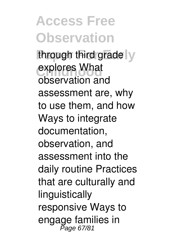**Access Free Observation** through third grade y explores What observation and assessment are, why to use them, and how Ways to integrate documentation, observation, and assessment into the daily routine Practices that are culturally and linguistically responsive Ways to engage families in<br>Page 67/81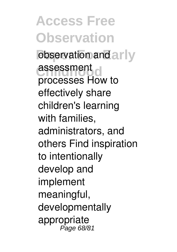**Access Free Observation** observation and arly **assessment** processes How to effectively share children's learning with families, administrators, and others Find inspiration to intentionally develop and implement meaningful, developmentally appropriate Page 68/81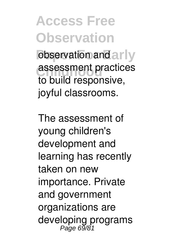**Access Free Observation** observation and arly assessment practices to build responsive, joyful classrooms.

The assessment of young children's development and learning has recently taken on new importance. Private and government organizations are developing programs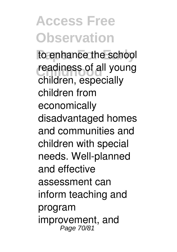# **Access Free Observation**

to enhance the school readiness of all young children, especially children from economically disadvantaged homes and communities and children with special needs. Well-planned and effective assessment can inform teaching and program improvement, and Page 70/81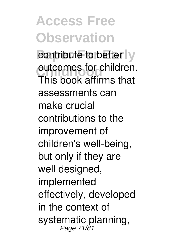**Access Free Observation** contribute to better ly outcomes for children. This book affirms that assessments can make crucial contributions to the improvement of children's well-being, but only if they are well designed, implemented effectively, developed in the context of systematic planning,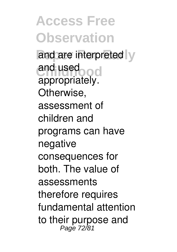**Access Free Observation** and are interpreted y and used<br>
annual used appropriately. Otherwise, assessment of children and programs can have negative consequences for both. The value of assessments therefore requires fundamental attention to their purpose and<br> $P_{\text{age } 72/81}$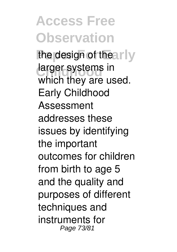**Access Free Observation** the design of the arly larger systems in which they are used. Early Childhood Assessment addresses these issues by identifying the important outcomes for children from birth to age 5 and the quality and purposes of different techniques and instruments for Page 73/81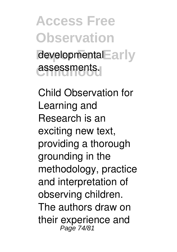**Access Free Observation** developmental<sup>E</sup>arly **Childhood** assessments.

Child Observation for Learning and Research is an exciting new text, providing a thorough grounding in the methodology, practice and interpretation of observing children. The authors draw on their experience and Page 74/81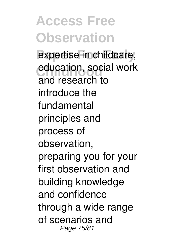## **Access Free Observation**

expertise in childcare, education, social work and research to introduce the fundamental principles and process of observation, preparing you for your first observation and building knowledge and confidence through a wide range of scenarios and Page 75/81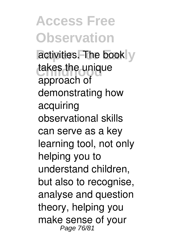**Access Free Observation** activities. The book y takes the unique approach of demonstrating how acquiring observational skills can serve as a key learning tool, not only helping you to understand children, but also to recognise, analyse and question theory, helping you make sense of your Page 76/81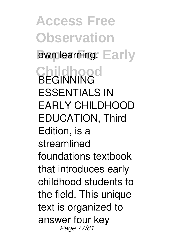**Access Free Observation** own learning. Early **Childhood** BEGINNING ESSENTIALS IN EARLY CHILDHOOD EDUCATION, Third Edition, is a streamlined foundations textbook that introduces early childhood students to the field. This unique text is organized to answer four key Page 77/81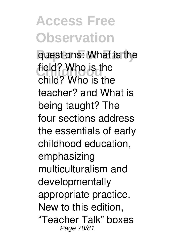**Access Free Observation** questions: What is the field? Who is the child? Who is the teacher? and What is being taught? The four sections address the essentials of early childhood education, emphasizing multiculturalism and developmentally appropriate practice. New to this edition, "Teacher Talk" boxes Page 78/81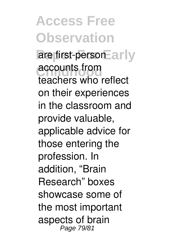**Access Free Observation** are first-person Early **accounts from** teachers who reflect on their experiences in the classroom and provide valuable, applicable advice for those entering the profession. In addition, "Brain Research" boxes showcase some of the most important aspects of brain Page 79/81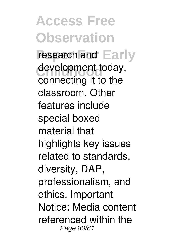**Access Free Observation** research and **Early** development today, connecting it to the classroom. Other features include special boxed material that highlights key issues related to standards, diversity, DAP, professionalism, and ethics. Important Notice: Media content referenced within the Page 80/81